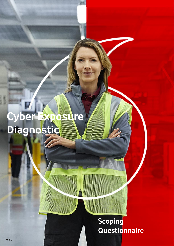# **Cyber Exposure Diagnostic**

# **Scoping Questionnaire**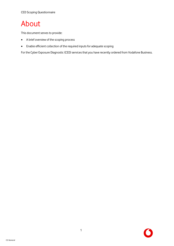# About

This document serves to provide:

- A brief overview of the scoping process
- Enable efficient collection of the required inputs for adequate scoping

For the Cyber Exposure Diagnostic (CED) services that you have recently ordered from Vodafone Business.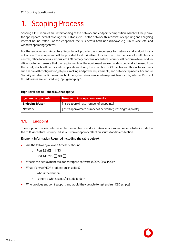# 1. Scoping Process

Scoping a CED requires an understanding of the network and endpoint composition, which will help drive the appropriate level of coverage for CED analysis. For the network, this consists of capturing and analysing internet bound traffic. For the endpoints, focus is across both non-Windows e.g. Linux, Mac, etc. and windows operating systems

For the engagement, Accenture Security will provide the components for network and endpoint data collection. The equipment will be provided to all prioritised locations (e.g., in the case of multiple data centres, office locations, campus, etc.). Of primary concern, Accenture Security will perform a level of duediligence to help ensure that the requirements of the equipment are well understood and addressed from the onset, which will help avoid complications during the execution of CED activities. This includes items such as firewall configuration, physical racking and power requirements, and network tap needs. Accenture Security will also configure as much of the systems in advance, where possible – for this, Internet Protocol (IP) addresses are required (e.g., "plug-and-play").

## **High-level scope – check all that apply:**

| <b>System components</b>   | Number of in scope components                                |  |  |
|----------------------------|--------------------------------------------------------------|--|--|
| <b>Endpoint &amp; User</b> | [Insert approximate number of endpoints]                     |  |  |
| <b>Network</b>             | [Insert approximate number of network egress/ingress points] |  |  |

# **1.1. Endpoint**

The endpoint scope is determined by the number of endpoints (workstations and servers) to be included in the CED. Accenture Security utilises custom endpoint collection scripts for data collection

## **Endpoint Information Required including the table below):**

- Are the following allowed Access outbound
	- $\circ$  Port 22 YES  $\Box$  NO  $\Box$
	- $\circ$  Port 443 YES  $\Box$  NO  $\Box$
- What is the deployment tool for enterprise software (SCCM, GPO, PDQ)?
- What, if any AV/EDR products are installed?
	- o Who is the vendor?
	- o Is there a Whitelist file/exclude folder?
- Who provides endpoint support, and would they be able to test and run CED scripts?

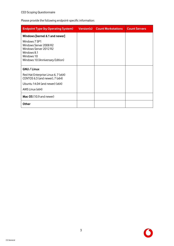Please provide the following endpoint-specific information:

| <b>Endpoint Type (by Operating System)</b>                                                                                         | <b>Version(s)</b> | <b>Count Workstations</b> | <b>Count Servers</b> |
|------------------------------------------------------------------------------------------------------------------------------------|-------------------|---------------------------|----------------------|
| Windows [kernel 6.1 and newer]                                                                                                     |                   |                           |                      |
| Windows 7 SP1<br>Windows Server 2008 R2<br>Windows Server 2012 R2<br>Windows 8.1<br>Windows 10<br>Windows 10 (Anniversary Edition) |                   |                           |                      |
| GNU / Linux                                                                                                                        |                   |                           |                      |
| Red Hat Enterprise Linux 6, 7 (x64)<br>CENTOS 6.3 (and newer), 7 (x64)                                                             |                   |                           |                      |
| Ubuntu 14.04 (and newer) (x64)                                                                                                     |                   |                           |                      |
| AWS Linux (x64)                                                                                                                    |                   |                           |                      |
| Mac OS (10.9 and newer)                                                                                                            |                   |                           |                      |
| <b>Other</b>                                                                                                                       |                   |                           |                      |

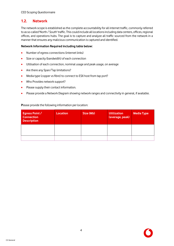# **1.2. Network**

The network scope is established as the complete accountability for all internet traffic, commonly referred to as so-called 'North / South' traffic. This could include all locations including data centers, offices, regional offices, and operations hubs. The goal is to capture and analyze all traffic sourced from the network in a manner that ensures any malicious communication is captured and identified.

### **Network Information Required including table below:**

- Number of egress connections (internet links)
- Size or capacity (bandwidth) of each connection
- Utilisation of each connection, nominal usage and peak usage, on average
- Are there any Span/Tap limitations?
- Media type (copper vs fibre) to connect to ESX host from tap port?
- Who Provides network support?
- Please supply their contact information.
- Please provide a Network Diagram showing network ranges and connectivity in general, if available.

#### **P**lease provide the following information per location:

| <b>Egress Point /</b><br><b>Connection</b><br><b>Description</b> | <b>Location</b> | Size (Mb) | <b>Utilization</b><br>(average, peak) | <b>Media Type</b> |
|------------------------------------------------------------------|-----------------|-----------|---------------------------------------|-------------------|
|                                                                  |                 |           |                                       |                   |
|                                                                  |                 |           |                                       |                   |

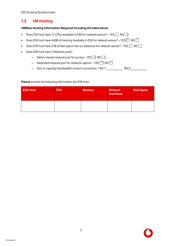CED Scoping Questionnaire

# **1.3. VM Hosting**

### **VMWare Hosting Information Required including the table below:**

- Does ESX host have 12 CPUs available in ESX for network sensor? YES  $\Box$  NO  $\Box$
- Does ESX host have 64GB of memory Available in ESX for network sensor? YES  $\Box$  NO  $\Box$
- Does ESX host have 2TB of Disk space Free on datastore for network sensor? YES  $\Box$  NO  $\Box$
- Does ESX host have 2 Network ports?
	- $\circ$  Admin shared network port for access YES  $\Box$  NO  $\Box$
	- $\circ$  Dedicated network port for network capture YES  $\Box$  NO  $\Box$
	- o Size or capacity (bandwidth) of each connection NIC1: NIC2:

#### **Please** provide the following information per ESX host:

| <b>ESXI Host</b> | <b>CPU</b> | <b>Memory</b> | <b>Network</b><br>interfaces | <b>Disk Space</b> |
|------------------|------------|---------------|------------------------------|-------------------|
|                  |            |               |                              |                   |